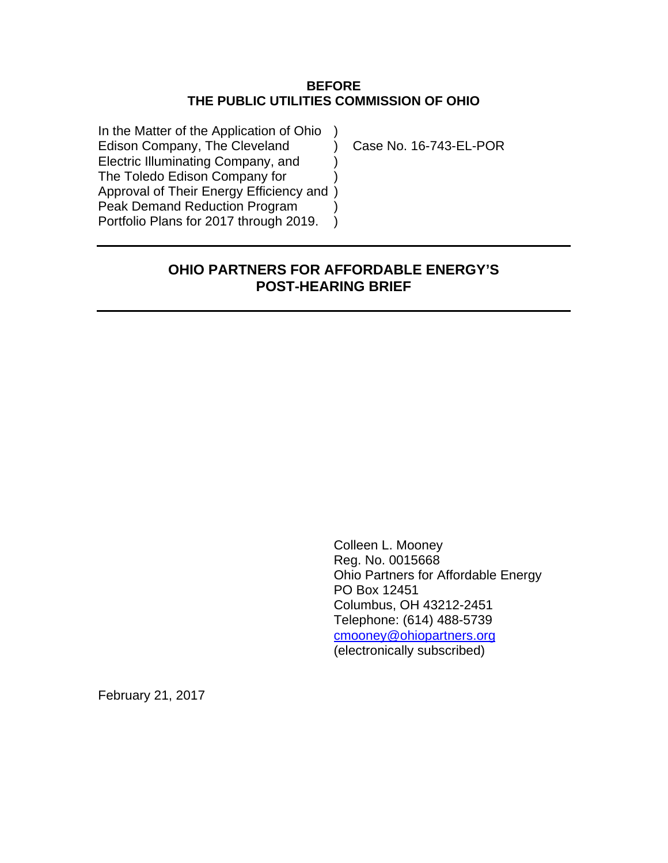#### **BEFORE THE PUBLIC UTILITIES COMMISSION OF OHIO**

In the Matter of the Application of Ohio ) Edison Company, The Cleveland (a) Case No. 16-743-EL-POR Electric Illuminating Company, and ) The Toledo Edison Company for ) Approval of Their Energy Efficiency and ) Peak Demand Reduction Program Portfolio Plans for 2017 through 2019.

# **OHIO PARTNERS FOR AFFORDABLE ENERGY'S POST-HEARING BRIEF**

Colleen L. Mooney Reg. No. 0015668 Ohio Partners for Affordable Energy PO Box 12451 Columbus, OH 43212-2451 Telephone: (614) 488-5739 [cmooney@ohiopartners.org](mailto:cmooney@ohiopartners.org) (electronically subscribed)

February 21, 2017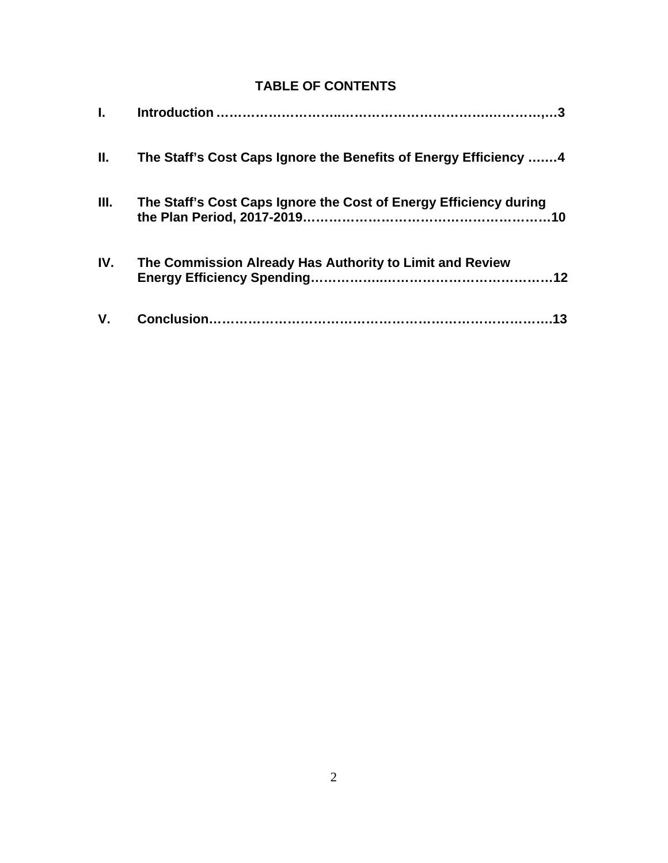# **TABLE OF CONTENTS**

| L.          |                                                                   |
|-------------|-------------------------------------------------------------------|
| II.         | The Staff's Cost Caps Ignore the Benefits of Energy Efficiency 4  |
| III.        | The Staff's Cost Caps Ignore the Cost of Energy Efficiency during |
| IV.         | The Commission Already Has Authority to Limit and Review          |
| $V_{\cdot}$ | 13                                                                |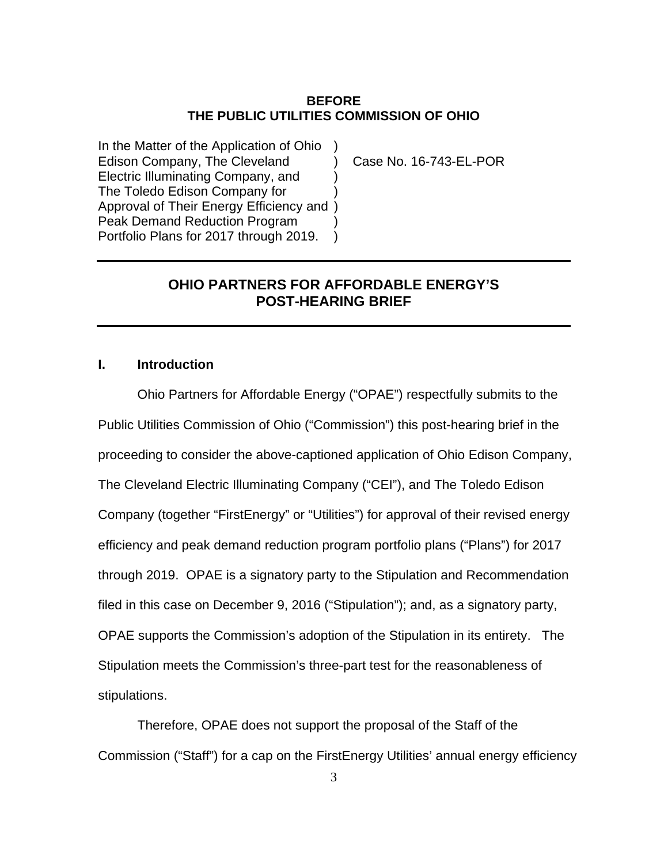#### **BEFORE THE PUBLIC UTILITIES COMMISSION OF OHIO**

In the Matter of the Application of Ohio ) Edison Company, The Cleveland (a) Case No. 16-743-EL-POR Electric Illuminating Company, and ) The Toledo Edison Company for ) Approval of Their Energy Efficiency and ) Peak Demand Reduction Program Portfolio Plans for 2017 through 2019. )

## **OHIO PARTNERS FOR AFFORDABLE ENERGY'S POST-HEARING BRIEF**

#### **I. Introduction**

Ohio Partners for Affordable Energy ("OPAE") respectfully submits to the Public Utilities Commission of Ohio ("Commission") this post-hearing brief in the proceeding to consider the above-captioned application of Ohio Edison Company, The Cleveland Electric Illuminating Company ("CEI"), and The Toledo Edison Company (together "FirstEnergy" or "Utilities") for approval of their revised energy efficiency and peak demand reduction program portfolio plans ("Plans") for 2017 through 2019. OPAE is a signatory party to the Stipulation and Recommendation filed in this case on December 9, 2016 ("Stipulation"); and, as a signatory party, OPAE supports the Commission's adoption of the Stipulation in its entirety. The Stipulation meets the Commission's three-part test for the reasonableness of stipulations.

Therefore, OPAE does not support the proposal of the Staff of the Commission ("Staff") for a cap on the FirstEnergy Utilities' annual energy efficiency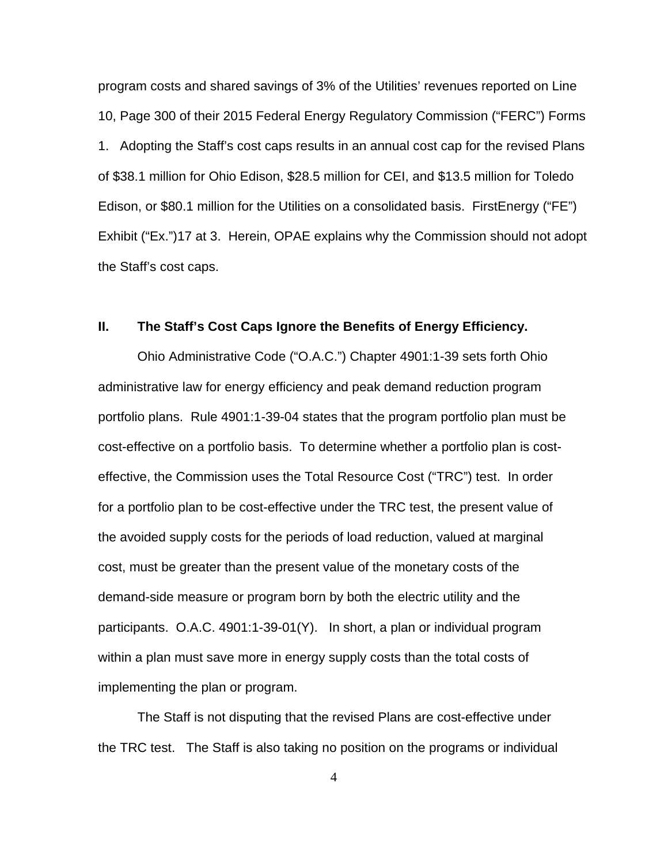program costs and shared savings of 3% of the Utilities' revenues reported on Line 10, Page 300 of their 2015 Federal Energy Regulatory Commission ("FERC") Forms 1. Adopting the Staff's cost caps results in an annual cost cap for the revised Plans of \$38.1 million for Ohio Edison, \$28.5 million for CEI, and \$13.5 million for Toledo Edison, or \$80.1 million for the Utilities on a consolidated basis. FirstEnergy ("FE") Exhibit ("Ex.")17 at 3. Herein, OPAE explains why the Commission should not adopt the Staff's cost caps.

#### **II. The Staff's Cost Caps Ignore the Benefits of Energy Efficiency.**

Ohio Administrative Code ("O.A.C.") Chapter 4901:1-39 sets forth Ohio administrative law for energy efficiency and peak demand reduction program portfolio plans. Rule 4901:1-39-04 states that the program portfolio plan must be cost-effective on a portfolio basis. To determine whether a portfolio plan is costeffective, the Commission uses the Total Resource Cost ("TRC") test. In order for a portfolio plan to be cost-effective under the TRC test, the present value of the avoided supply costs for the periods of load reduction, valued at marginal cost, must be greater than the present value of the monetary costs of the demand-side measure or program born by both the electric utility and the participants. O.A.C. 4901:1-39-01(Y). In short, a plan or individual program within a plan must save more in energy supply costs than the total costs of implementing the plan or program.

The Staff is not disputing that the revised Plans are cost-effective under the TRC test. The Staff is also taking no position on the programs or individual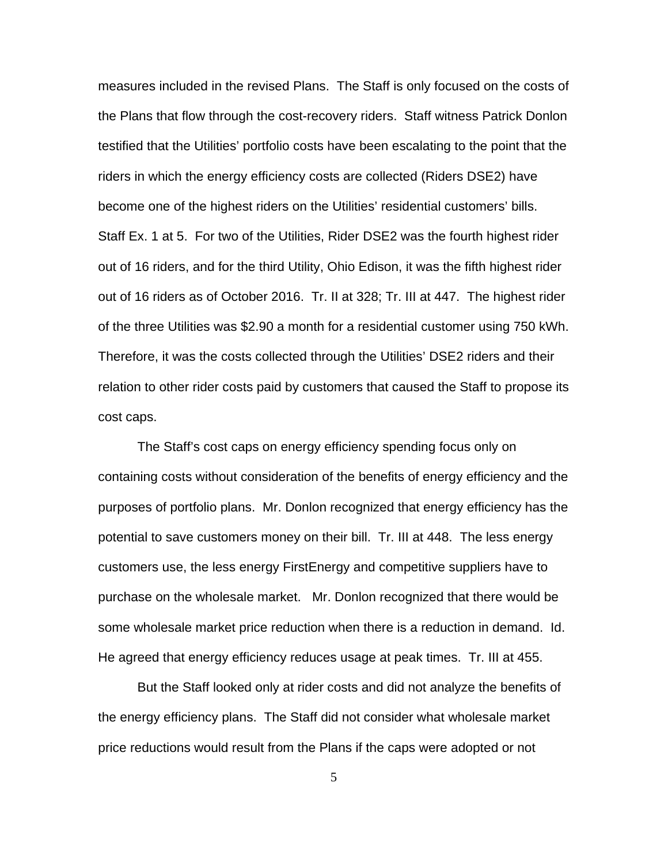measures included in the revised Plans. The Staff is only focused on the costs of the Plans that flow through the cost-recovery riders. Staff witness Patrick Donlon testified that the Utilities' portfolio costs have been escalating to the point that the riders in which the energy efficiency costs are collected (Riders DSE2) have become one of the highest riders on the Utilities' residential customers' bills. Staff Ex. 1 at 5. For two of the Utilities, Rider DSE2 was the fourth highest rider out of 16 riders, and for the third Utility, Ohio Edison, it was the fifth highest rider out of 16 riders as of October 2016. Tr. II at 328; Tr. III at 447. The highest rider of the three Utilities was \$2.90 a month for a residential customer using 750 kWh. Therefore, it was the costs collected through the Utilities' DSE2 riders and their relation to other rider costs paid by customers that caused the Staff to propose its cost caps.

The Staff's cost caps on energy efficiency spending focus only on containing costs without consideration of the benefits of energy efficiency and the purposes of portfolio plans. Mr. Donlon recognized that energy efficiency has the potential to save customers money on their bill. Tr. III at 448. The less energy customers use, the less energy FirstEnergy and competitive suppliers have to purchase on the wholesale market. Mr. Donlon recognized that there would be some wholesale market price reduction when there is a reduction in demand. Id. He agreed that energy efficiency reduces usage at peak times. Tr. III at 455.

But the Staff looked only at rider costs and did not analyze the benefits of the energy efficiency plans. The Staff did not consider what wholesale market price reductions would result from the Plans if the caps were adopted or not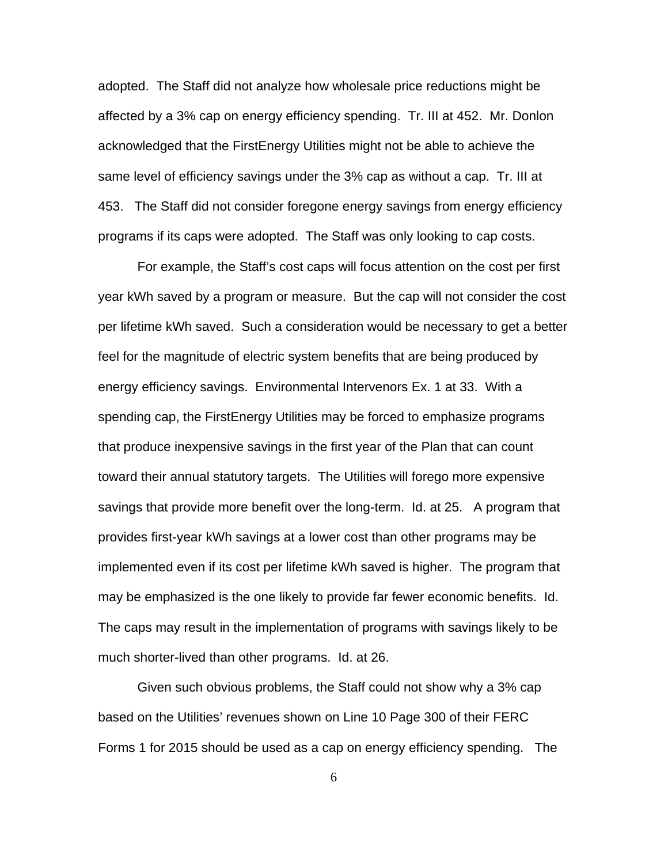adopted. The Staff did not analyze how wholesale price reductions might be affected by a 3% cap on energy efficiency spending. Tr. III at 452. Mr. Donlon acknowledged that the FirstEnergy Utilities might not be able to achieve the same level of efficiency savings under the 3% cap as without a cap. Tr. III at 453. The Staff did not consider foregone energy savings from energy efficiency programs if its caps were adopted. The Staff was only looking to cap costs.

For example, the Staff's cost caps will focus attention on the cost per first year kWh saved by a program or measure. But the cap will not consider the cost per lifetime kWh saved. Such a consideration would be necessary to get a better feel for the magnitude of electric system benefits that are being produced by energy efficiency savings. Environmental Intervenors Ex. 1 at 33. With a spending cap, the FirstEnergy Utilities may be forced to emphasize programs that produce inexpensive savings in the first year of the Plan that can count toward their annual statutory targets. The Utilities will forego more expensive savings that provide more benefit over the long-term. Id. at 25. A program that provides first-year kWh savings at a lower cost than other programs may be implemented even if its cost per lifetime kWh saved is higher. The program that may be emphasized is the one likely to provide far fewer economic benefits. Id. The caps may result in the implementation of programs with savings likely to be much shorter-lived than other programs. Id. at 26.

Given such obvious problems, the Staff could not show why a 3% cap based on the Utilities' revenues shown on Line 10 Page 300 of their FERC Forms 1 for 2015 should be used as a cap on energy efficiency spending. The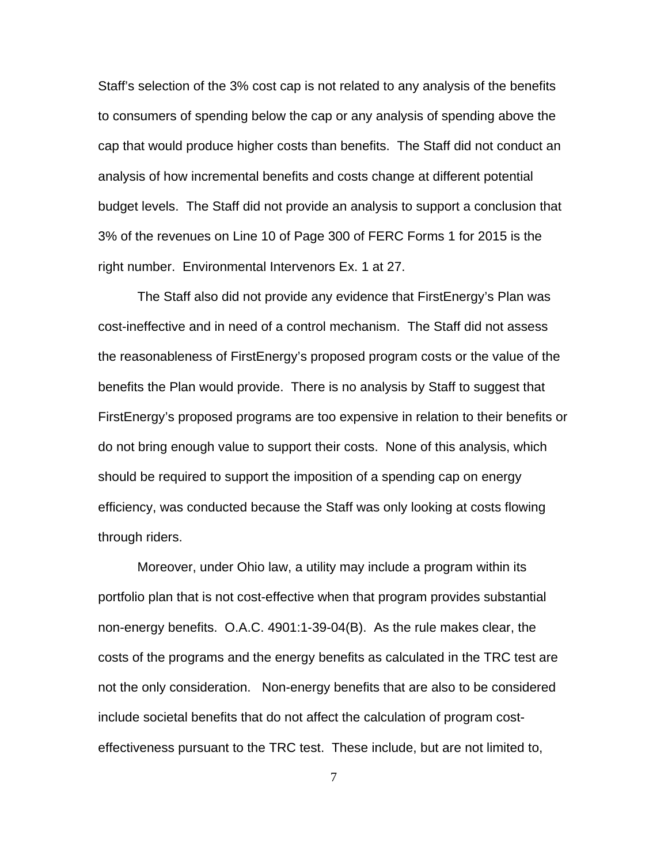Staff's selection of the 3% cost cap is not related to any analysis of the benefits to consumers of spending below the cap or any analysis of spending above the cap that would produce higher costs than benefits. The Staff did not conduct an analysis of how incremental benefits and costs change at different potential budget levels. The Staff did not provide an analysis to support a conclusion that 3% of the revenues on Line 10 of Page 300 of FERC Forms 1 for 2015 is the right number. Environmental Intervenors Ex. 1 at 27.

The Staff also did not provide any evidence that FirstEnergy's Plan was cost-ineffective and in need of a control mechanism. The Staff did not assess the reasonableness of FirstEnergy's proposed program costs or the value of the benefits the Plan would provide. There is no analysis by Staff to suggest that FirstEnergy's proposed programs are too expensive in relation to their benefits or do not bring enough value to support their costs. None of this analysis, which should be required to support the imposition of a spending cap on energy efficiency, was conducted because the Staff was only looking at costs flowing through riders.

Moreover, under Ohio law, a utility may include a program within its portfolio plan that is not cost-effective when that program provides substantial non-energy benefits. O.A.C. 4901:1-39-04(B). As the rule makes clear, the costs of the programs and the energy benefits as calculated in the TRC test are not the only consideration. Non-energy benefits that are also to be considered include societal benefits that do not affect the calculation of program costeffectiveness pursuant to the TRC test. These include, but are not limited to,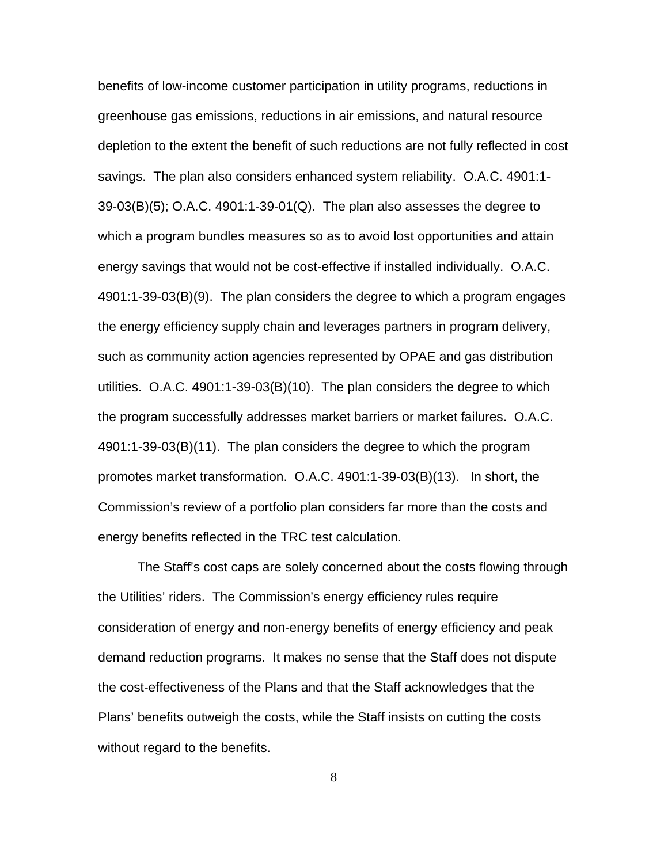benefits of low-income customer participation in utility programs, reductions in greenhouse gas emissions, reductions in air emissions, and natural resource depletion to the extent the benefit of such reductions are not fully reflected in cost savings. The plan also considers enhanced system reliability. O.A.C. 4901:1-  $39-03(B)(5)$ ; O.A.C.  $4901:1-39-01(Q)$ . The plan also assesses the degree to which a program bundles measures so as to avoid lost opportunities and attain energy savings that would not be cost-effective if installed individually. O.A.C. 4901:1-39-03(B)(9). The plan considers the degree to which a program engages the energy efficiency supply chain and leverages partners in program delivery, such as community action agencies represented by OPAE and gas distribution utilities. O.A.C. 4901:1-39-03(B)(10). The plan considers the degree to which the program successfully addresses market barriers or market failures. O.A.C. 4901:1-39-03(B)(11). The plan considers the degree to which the program promotes market transformation. O.A.C. 4901:1-39-03(B)(13). In short, the Commission's review of a portfolio plan considers far more than the costs and energy benefits reflected in the TRC test calculation.

The Staff's cost caps are solely concerned about the costs flowing through the Utilities' riders. The Commission's energy efficiency rules require consideration of energy and non-energy benefits of energy efficiency and peak demand reduction programs. It makes no sense that the Staff does not dispute the cost-effectiveness of the Plans and that the Staff acknowledges that the Plans' benefits outweigh the costs, while the Staff insists on cutting the costs without regard to the benefits.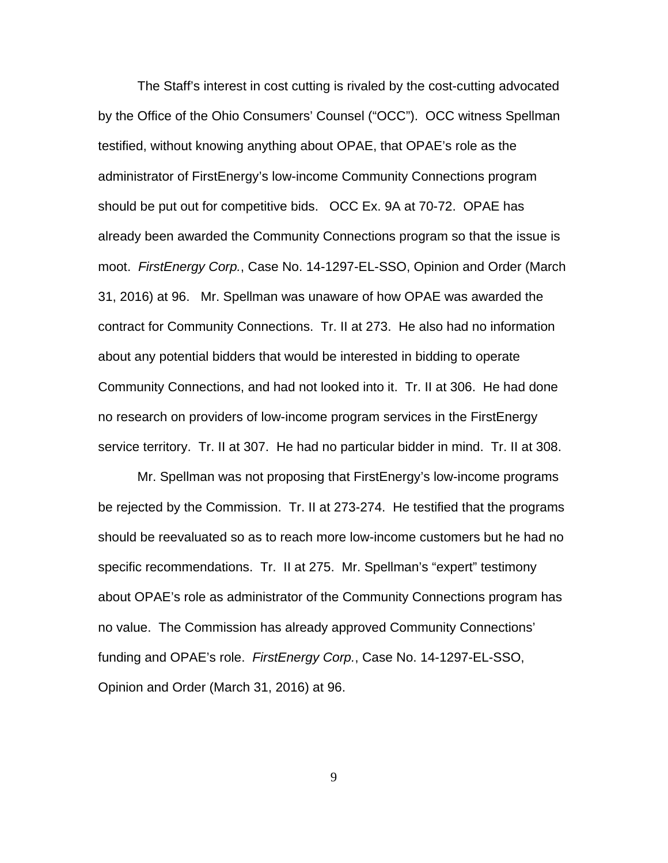The Staff's interest in cost cutting is rivaled by the cost-cutting advocated by the Office of the Ohio Consumers' Counsel ("OCC"). OCC witness Spellman testified, without knowing anything about OPAE, that OPAE's role as the administrator of FirstEnergy's low-income Community Connections program should be put out for competitive bids.OCC Ex. 9A at 70-72. OPAE has already been awarded the Community Connections program so that the issue is moot. *FirstEnergy Corp.*, Case No. 14-1297-EL-SSO, Opinion and Order (March 31, 2016) at 96. Mr. Spellman was unaware of how OPAE was awarded the contract for Community Connections. Tr. II at 273. He also had no information about any potential bidders that would be interested in bidding to operate Community Connections, and had not looked into it. Tr. II at 306. He had done no research on providers of low-income program services in the FirstEnergy service territory. Tr. II at 307. He had no particular bidder in mind. Tr. II at 308.

Mr. Spellman was not proposing that FirstEnergy's low-income programs be rejected by the Commission. Tr. II at 273-274. He testified that the programs should be reevaluated so as to reach more low-income customers but he had no specific recommendations. Tr. II at 275. Mr. Spellman's "expert" testimony about OPAE's role as administrator of the Community Connections program has no value. The Commission has already approved Community Connections' funding and OPAE's role. *FirstEnergy Corp.*, Case No. 14-1297-EL-SSO, Opinion and Order (March 31, 2016) at 96.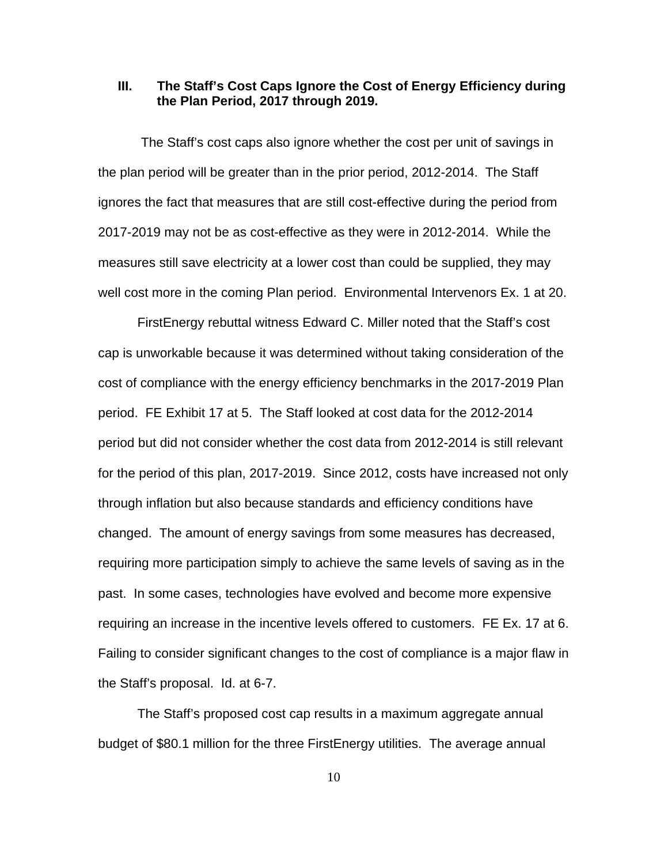#### **III. The Staff's Cost Caps Ignore the Cost of Energy Efficiency during the Plan Period, 2017 through 2019.**

 The Staff's cost caps also ignore whether the cost per unit of savings in the plan period will be greater than in the prior period, 2012-2014. The Staff ignores the fact that measures that are still cost-effective during the period from 2017-2019 may not be as cost-effective as they were in 2012-2014. While the measures still save electricity at a lower cost than could be supplied, they may well cost more in the coming Plan period. Environmental Intervenors Ex. 1 at 20.

FirstEnergy rebuttal witness Edward C. Miller noted that the Staff's cost cap is unworkable because it was determined without taking consideration of the cost of compliance with the energy efficiency benchmarks in the 2017-2019 Plan period. FE Exhibit 17 at 5. The Staff looked at cost data for the 2012-2014 period but did not consider whether the cost data from 2012-2014 is still relevant for the period of this plan, 2017-2019. Since 2012, costs have increased not only through inflation but also because standards and efficiency conditions have changed. The amount of energy savings from some measures has decreased, requiring more participation simply to achieve the same levels of saving as in the past. In some cases, technologies have evolved and become more expensive requiring an increase in the incentive levels offered to customers. FE Ex. 17 at 6. Failing to consider significant changes to the cost of compliance is a major flaw in the Staff's proposal. Id. at 6-7.

The Staff's proposed cost cap results in a maximum aggregate annual budget of \$80.1 million for the three FirstEnergy utilities. The average annual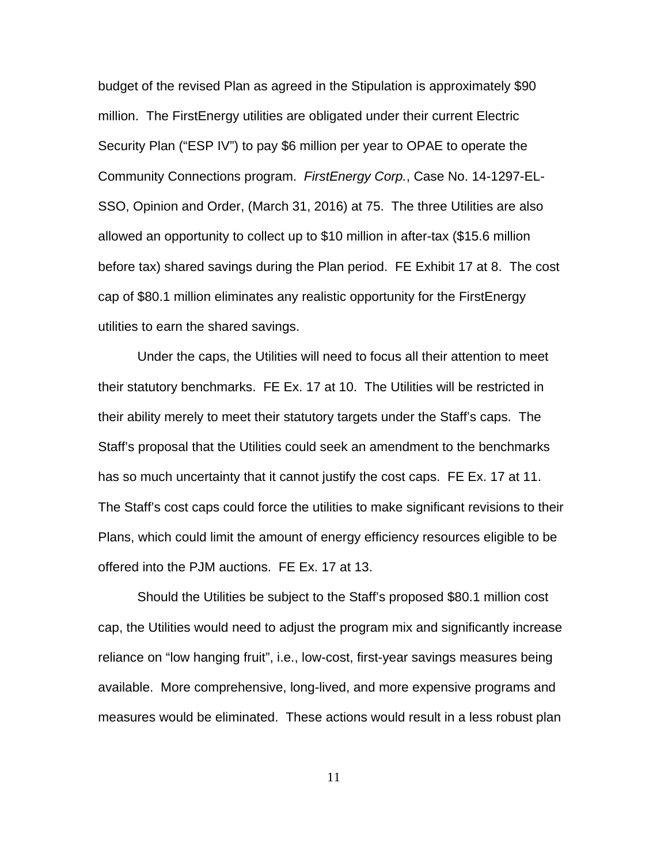budget of the revised Plan as agreed in the Stipulation is approximately \$90 million. The FirstEnergy utilities are obligated under their current Electric Security Plan ("ESP IV") to pay \$6 million per year to OPAE to operate the Community Connections program. *FirstEnergy Corp.*, Case No. 14-1297-EL-SSO, Opinion and Order, (March 31, 2016) at 75. The three Utilities are also allowed an opportunity to collect up to \$10 million in after-tax (\$15.6 million before tax) shared savings during the Plan period. FE Exhibit 17 at 8. The cost cap of \$80.1 million eliminates any realistic opportunity for the FirstEnergy utilities to earn the shared savings.

Under the caps, the Utilities will need to focus all their attention to meet their statutory benchmarks. FE Ex. 17 at 10. The Utilities will be restricted in their ability merely to meet their statutory targets under the Staff's caps. The Staff's proposal that the Utilities could seek an amendment to the benchmarks has so much uncertainty that it cannot justify the cost caps. FE Ex. 17 at 11. The Staff's cost caps could force the utilities to make significant revisions to their Plans, which could limit the amount of energy efficiency resources eligible to be offered into the PJM auctions. FE Ex. 17 at 13.

Should the Utilities be subject to the Staff's proposed \$80.1 million cost cap, the Utilities would need to adjust the program mix and significantly increase reliance on "low hanging fruit", i.e., low-cost, first-year savings measures being available. More comprehensive, long-lived, and more expensive programs and measures would be eliminated. These actions would result in a less robust plan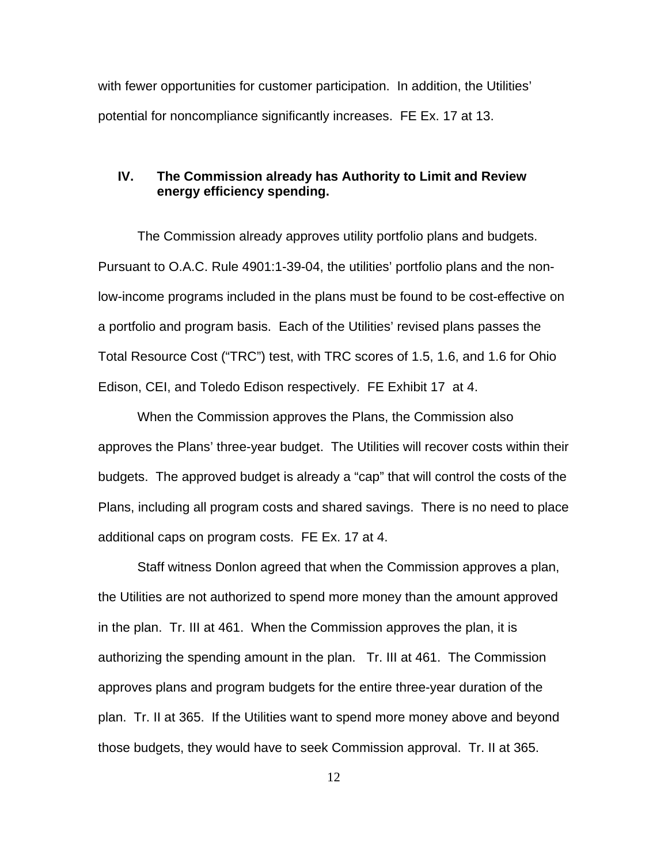with fewer opportunities for customer participation. In addition, the Utilities' potential for noncompliance significantly increases. FE Ex. 17 at 13.

## **IV. The Commission already has Authority to Limit and Review energy efficiency spending.**

 The Commission already approves utility portfolio plans and budgets. Pursuant to O.A.C. Rule 4901:1-39-04, the utilities' portfolio plans and the nonlow-income programs included in the plans must be found to be cost-effective on a portfolio and program basis. Each of the Utilities' revised plans passes the Total Resource Cost ("TRC") test, with TRC scores of 1.5, 1.6, and 1.6 for Ohio Edison, CEI, and Toledo Edison respectively. FE Exhibit 17 at 4.

When the Commission approves the Plans, the Commission also approves the Plans' three-year budget. The Utilities will recover costs within their budgets. The approved budget is already a "cap" that will control the costs of the Plans, including all program costs and shared savings. There is no need to place additional caps on program costs. FE Ex. 17 at 4.

Staff witness Donlon agreed that when the Commission approves a plan, the Utilities are not authorized to spend more money than the amount approved in the plan. Tr. III at 461. When the Commission approves the plan, it is authorizing the spending amount in the plan. Tr. III at 461. The Commission approves plans and program budgets for the entire three-year duration of the plan. Tr. II at 365. If the Utilities want to spend more money above and beyond those budgets, they would have to seek Commission approval. Tr. II at 365.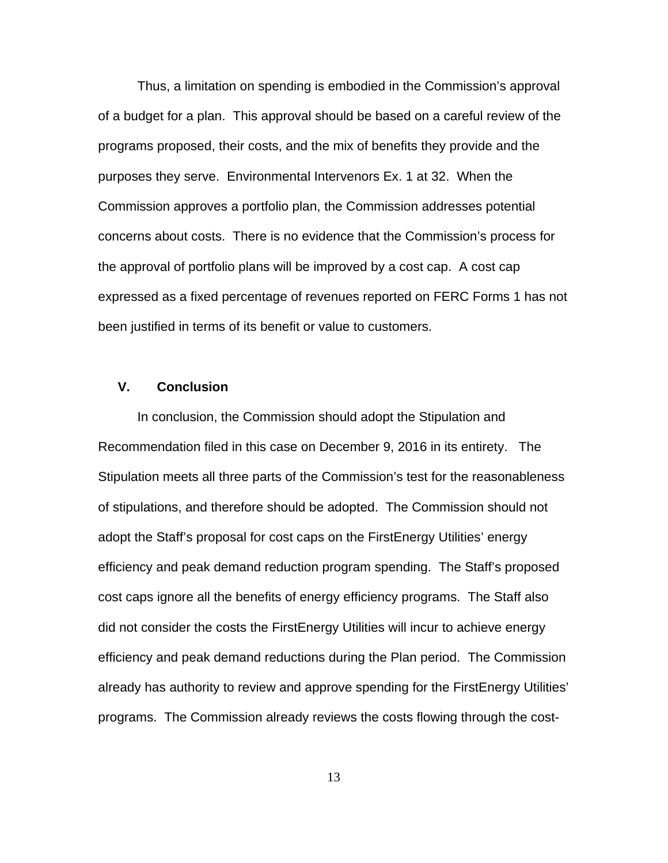Thus, a limitation on spending is embodied in the Commission's approval of a budget for a plan. This approval should be based on a careful review of the programs proposed, their costs, and the mix of benefits they provide and the purposes they serve. Environmental Intervenors Ex. 1 at 32. When the Commission approves a portfolio plan, the Commission addresses potential concerns about costs. There is no evidence that the Commission's process for the approval of portfolio plans will be improved by a cost cap. A cost cap expressed as a fixed percentage of revenues reported on FERC Forms 1 has not been justified in terms of its benefit or value to customers.

#### **V. Conclusion**

In conclusion, the Commission should adopt the Stipulation and Recommendation filed in this case on December 9, 2016 in its entirety. The Stipulation meets all three parts of the Commission's test for the reasonableness of stipulations, and therefore should be adopted. The Commission should not adopt the Staff's proposal for cost caps on the FirstEnergy Utilities' energy efficiency and peak demand reduction program spending. The Staff's proposed cost caps ignore all the benefits of energy efficiency programs. The Staff also did not consider the costs the FirstEnergy Utilities will incur to achieve energy efficiency and peak demand reductions during the Plan period. The Commission already has authority to review and approve spending for the FirstEnergy Utilities' programs. The Commission already reviews the costs flowing through the cost-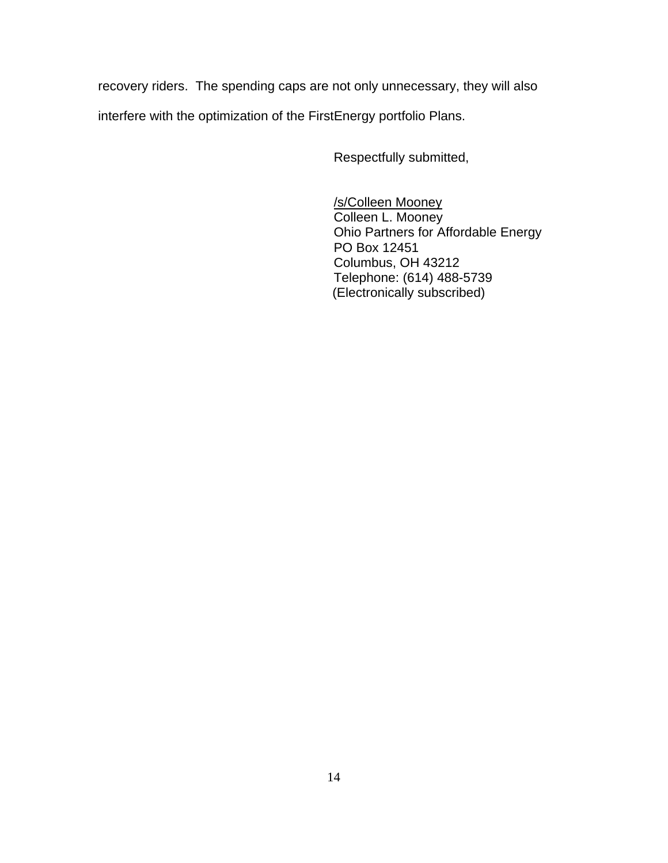recovery riders. The spending caps are not only unnecessary, they will also interfere with the optimization of the FirstEnergy portfolio Plans.

Respectfully submitted,

/s/Colleen Mooney Colleen L. Mooney Ohio Partners for Affordable Energy PO Box 12451 Columbus, OH 43212 Telephone: (614) 488-5739 (Electronically subscribed)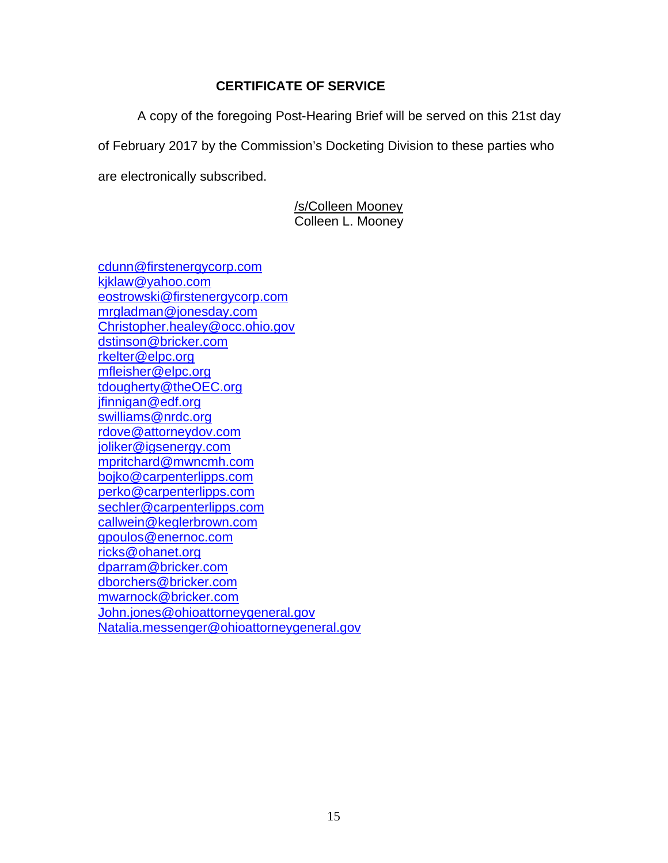## **CERTIFICATE OF SERVICE**

A copy of the foregoing Post-Hearing Brief will be served on this 21st day

of February 2017 by the Commission's Docketing Division to these parties who

are electronically subscribed.

/s/Colleen Mooney Colleen L. Mooney

[cdunn@firstenergycorp.com](mailto:cdunn@firstenergycorp.com) [kjklaw@yahoo.com](mailto:kjklaw@yahoo.com) [eostrowski@firstenergycorp.com](mailto:eostrowski@firstenergycorp.com) [mrgladman@jonesday.com](mailto:mrgladman@jonesday.com) [Christopher.healey@occ.ohio.gov](mailto:Christopher.healey@occ.ohio.gov) [dstinson@bricker.com](mailto:dstinson@bricker.com) [rkelter@elpc.org](mailto:rkelter@elpc.org) [mfleisher@elpc.org](mailto:mfleisher@elpc.org) [tdougherty@theOEC.org](mailto:tdougherty@theOEC.org) [jfinnigan@edf.org](mailto:jfinnigan@edf.org) [swilliams@nrdc.org](mailto:swilliams@nrdc.org) [rdove@attorneydov.com](mailto:rdove@attorneydov.com) [joliker@igsenergy.com](mailto:joliker@igsenergy.com) [mpritchard@mwncmh.com](mailto:mpritchard@mwncmh.com) [bojko@carpenterlipps.com](mailto:bojko@carpenterlipps.com) [perko@carpenterlipps.com](mailto:perko@carpenterlipps.com) [sechler@carpenterlipps.com](mailto:sechler@carpenterlipps.com) [callwein@keglerbrown.com](mailto:callwein@keglerbrown.com) [gpoulos@enernoc.com](mailto:gpoulos@enernoc.com) [ricks@ohanet.org](mailto:ricks@ohanet.org) [dparram@bricker.com](mailto:dparram@bricker.com) [dborchers@bricker.com](mailto:dborchers@bricker.com) [mwarnock@bricker.com](mailto:mwarnock@bricker.com) [John.jones@ohioattorneygeneral.gov](mailto:John.jones@ohioattorneygeneral.gov) [Natalia.messenger@ohioattorneygeneral.gov](mailto:Natalia.messenger@ohioattorneygeneral.gov)